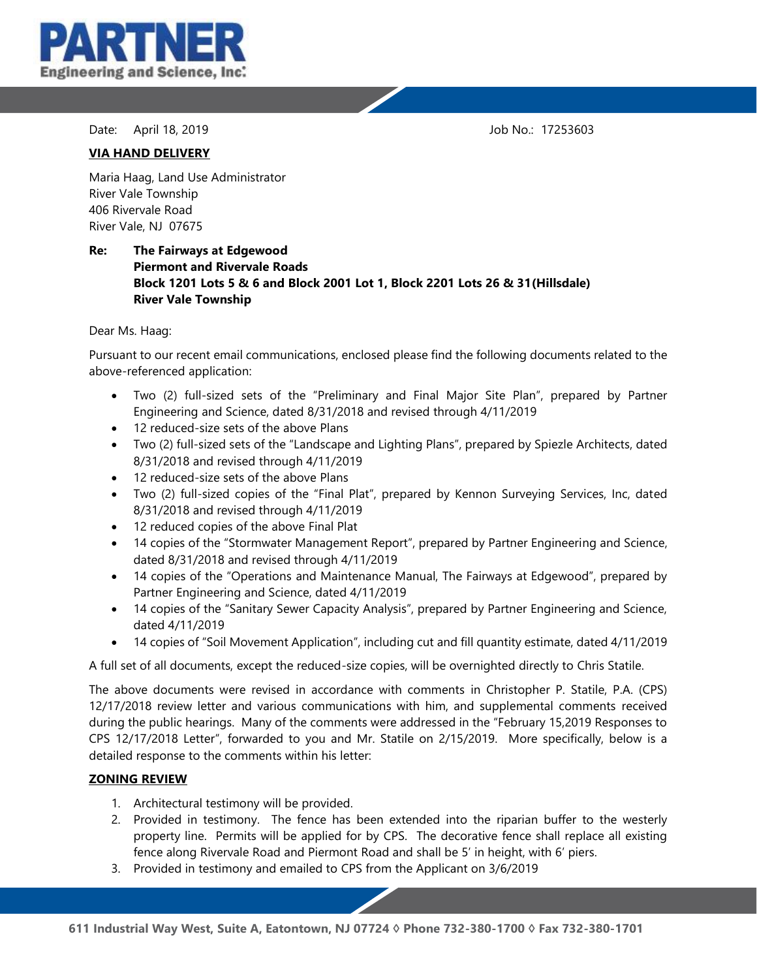

Date: April 18, 2019 **Date: April 18, 2019** 

### **VIA HAND DELIVERY**

Maria Haag, Land Use Administrator River Vale Township 406 Rivervale Road River Vale, NJ 07675

## **Re: The Fairways at Edgewood Piermont and Rivervale Roads Block 1201 Lots 5 & 6 and Block 2001 Lot 1, Block 2201 Lots 26 & 31(Hillsdale) River Vale Township**

Dear Ms. Haag:

Pursuant to our recent email communications, enclosed please find the following documents related to the above-referenced application:

- Two (2) full-sized sets of the "Preliminary and Final Major Site Plan", prepared by Partner Engineering and Science, dated 8/31/2018 and revised through 4/11/2019
- 12 reduced-size sets of the above Plans
- Two (2) full-sized sets of the "Landscape and Lighting Plans", prepared by Spiezle Architects, dated 8/31/2018 and revised through 4/11/2019
- 12 reduced-size sets of the above Plans
- Two (2) full-sized copies of the "Final Plat", prepared by Kennon Surveying Services, Inc, dated 8/31/2018 and revised through 4/11/2019
- 12 reduced copies of the above Final Plat
- 14 copies of the "Stormwater Management Report", prepared by Partner Engineering and Science, dated 8/31/2018 and revised through 4/11/2019
- 14 copies of the "Operations and Maintenance Manual, The Fairways at Edgewood", prepared by Partner Engineering and Science, dated 4/11/2019
- 14 copies of the "Sanitary Sewer Capacity Analysis", prepared by Partner Engineering and Science, dated 4/11/2019
- 14 copies of "Soil Movement Application", including cut and fill quantity estimate, dated 4/11/2019

A full set of all documents, except the reduced-size copies, will be overnighted directly to Chris Statile.

The above documents were revised in accordance with comments in Christopher P. Statile, P.A. (CPS) 12/17/2018 review letter and various communications with him, and supplemental comments received during the public hearings. Many of the comments were addressed in the "February 15,2019 Responses to CPS 12/17/2018 Letter", forwarded to you and Mr. Statile on 2/15/2019. More specifically, below is a detailed response to the comments within his letter:

## **ZONING REVIEW**

- 1. Architectural testimony will be provided.
- 2. Provided in testimony. The fence has been extended into the riparian buffer to the westerly property line. Permits will be applied for by CPS. The decorative fence shall replace all existing fence along Rivervale Road and Piermont Road and shall be 5' in height, with 6' piers.
- 3. Provided in testimony and emailed to CPS from the Applicant on 3/6/2019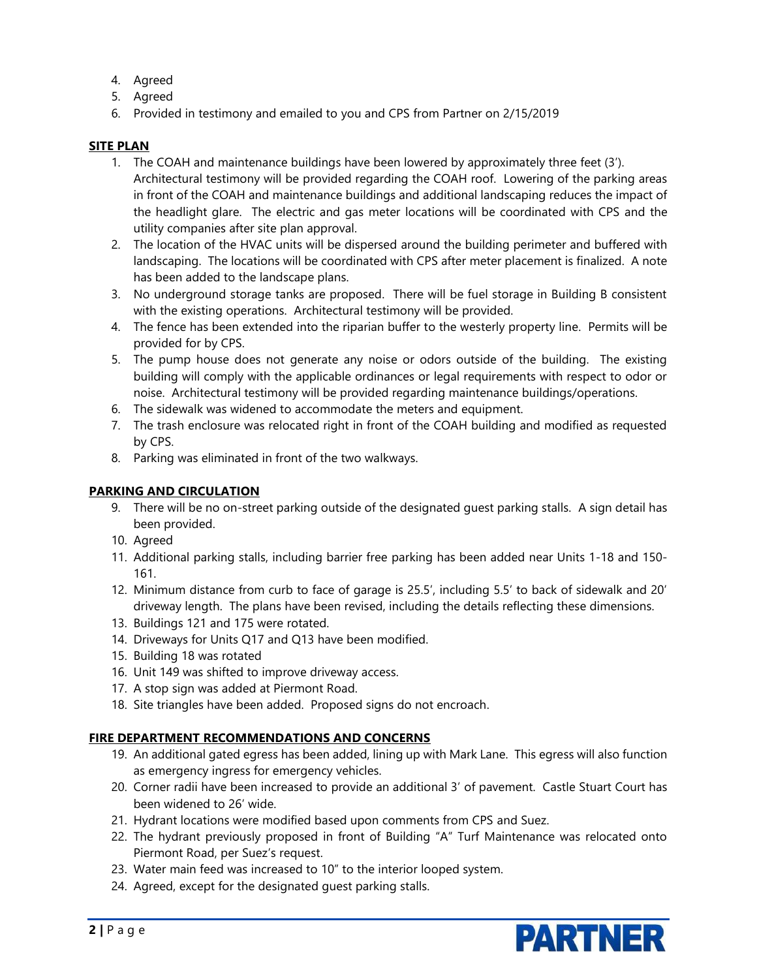- 4. Agreed
- 5. Agreed
- 6. Provided in testimony and emailed to you and CPS from Partner on 2/15/2019

# **SITE PLAN**

- 1. The COAH and maintenance buildings have been lowered by approximately three feet (3'). Architectural testimony will be provided regarding the COAH roof. Lowering of the parking areas in front of the COAH and maintenance buildings and additional landscaping reduces the impact of the headlight glare. The electric and gas meter locations will be coordinated with CPS and the utility companies after site plan approval.
- 2. The location of the HVAC units will be dispersed around the building perimeter and buffered with landscaping. The locations will be coordinated with CPS after meter placement is finalized. A note has been added to the landscape plans.
- 3. No underground storage tanks are proposed. There will be fuel storage in Building B consistent with the existing operations. Architectural testimony will be provided.
- 4. The fence has been extended into the riparian buffer to the westerly property line. Permits will be provided for by CPS.
- 5. The pump house does not generate any noise or odors outside of the building. The existing building will comply with the applicable ordinances or legal requirements with respect to odor or noise. Architectural testimony will be provided regarding maintenance buildings/operations.
- 6. The sidewalk was widened to accommodate the meters and equipment.
- 7. The trash enclosure was relocated right in front of the COAH building and modified as requested by CPS.
- 8. Parking was eliminated in front of the two walkways.

## **PARKING AND CIRCULATION**

- 9. There will be no on-street parking outside of the designated guest parking stalls. A sign detail has been provided.
- 10. Agreed
- 11. Additional parking stalls, including barrier free parking has been added near Units 1-18 and 150- 161.
- 12. Minimum distance from curb to face of garage is 25.5', including 5.5' to back of sidewalk and 20' driveway length. The plans have been revised, including the details reflecting these dimensions.
- 13. Buildings 121 and 175 were rotated.
- 14. Driveways for Units Q17 and Q13 have been modified.
- 15. Building 18 was rotated
- 16. Unit 149 was shifted to improve driveway access.
- 17. A stop sign was added at Piermont Road.
- 18. Site triangles have been added. Proposed signs do not encroach.

# **FIRE DEPARTMENT RECOMMENDATIONS AND CONCERNS**

- 19. An additional gated egress has been added, lining up with Mark Lane. This egress will also function as emergency ingress for emergency vehicles.
- 20. Corner radii have been increased to provide an additional 3' of pavement. Castle Stuart Court has been widened to 26' wide.
- 21. Hydrant locations were modified based upon comments from CPS and Suez.
- 22. The hydrant previously proposed in front of Building "A" Turf Maintenance was relocated onto Piermont Road, per Suez's request.
- 23. Water main feed was increased to 10" to the interior looped system.
- 24. Agreed, except for the designated guest parking stalls.

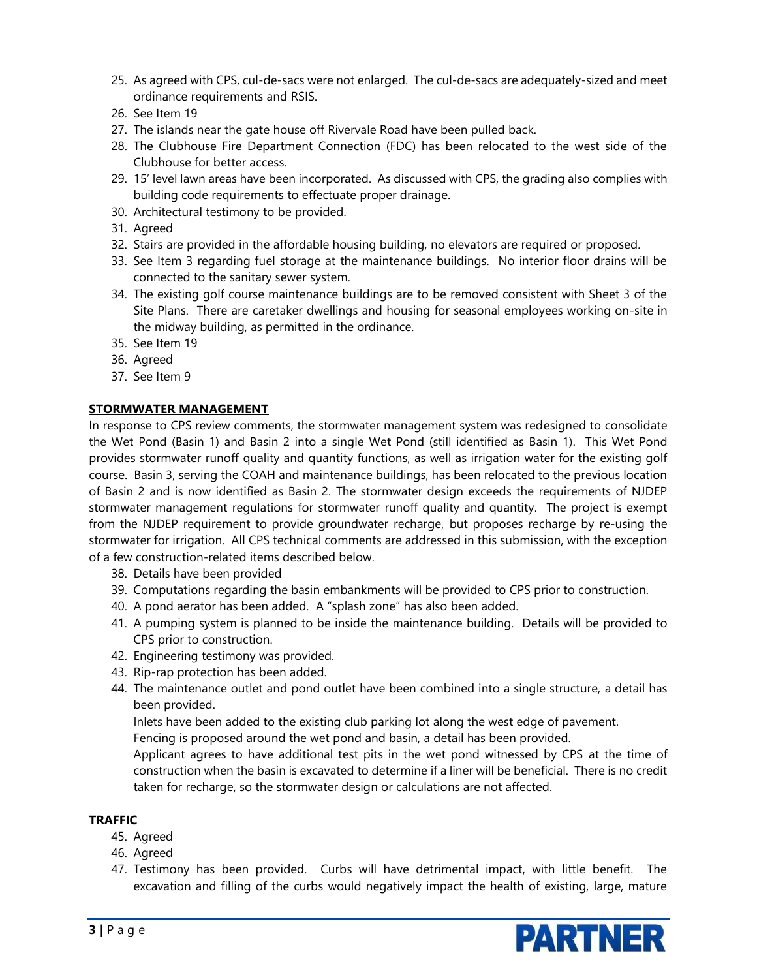- 25. As agreed with CPS, cul-de-sacs were not enlarged. The cul-de-sacs are adequately-sized and meet ordinance requirements and RSIS.
- 26. See Item 19
- 27. The islands near the gate house off Rivervale Road have been pulled back.
- 28. The Clubhouse Fire Department Connection (FDC) has been relocated to the west side of the Clubhouse for better access.
- 29. 15' level lawn areas have been incorporated. As discussed with CPS, the grading also complies with building code requirements to effectuate proper drainage.
- 30. Architectural testimony to be provided.
- 31. Agreed
- 32. Stairs are provided in the affordable housing building, no elevators are required or proposed.
- 33. See Item 3 regarding fuel storage at the maintenance buildings. No interior floor drains will be connected to the sanitary sewer system.
- 34. The existing golf course maintenance buildings are to be removed consistent with Sheet 3 of the Site Plans. There are caretaker dwellings and housing for seasonal employees working on-site in the midway building, as permitted in the ordinance.
- 35. See Item 19
- 36. Agreed
- 37. See Item 9

## **STORMWATER MANAGEMENT**

In response to CPS review comments, the stormwater management system was redesigned to consolidate the Wet Pond (Basin 1) and Basin 2 into a single Wet Pond (still identified as Basin 1). This Wet Pond provides stormwater runoff quality and quantity functions, as well as irrigation water for the existing golf course. Basin 3, serving the COAH and maintenance buildings, has been relocated to the previous location of Basin 2 and is now identified as Basin 2. The stormwater design exceeds the requirements of NJDEP stormwater management regulations for stormwater runoff quality and quantity. The project is exempt from the NJDEP requirement to provide groundwater recharge, but proposes recharge by re-using the stormwater for irrigation. All CPS technical comments are addressed in this submission, with the exception of a few construction-related items described below.

- 38. Details have been provided
- 39. Computations regarding the basin embankments will be provided to CPS prior to construction.
- 40. A pond aerator has been added. A "splash zone" has also been added.
- 41. A pumping system is planned to be inside the maintenance building. Details will be provided to CPS prior to construction.
- 42. Engineering testimony was provided.
- 43. Rip-rap protection has been added.
- 44. The maintenance outlet and pond outlet have been combined into a single structure, a detail has been provided.

Inlets have been added to the existing club parking lot along the west edge of pavement.

Fencing is proposed around the wet pond and basin, a detail has been provided.

Applicant agrees to have additional test pits in the wet pond witnessed by CPS at the time of construction when the basin is excavated to determine if a liner will be beneficial. There is no credit taken for recharge, so the stormwater design or calculations are not affected.

#### **TRAFFIC**

- 45. Agreed
- 46. Agreed
- 47. Testimony has been provided. Curbs will have detrimental impact, with little benefit. The excavation and filling of the curbs would negatively impact the health of existing, large, mature

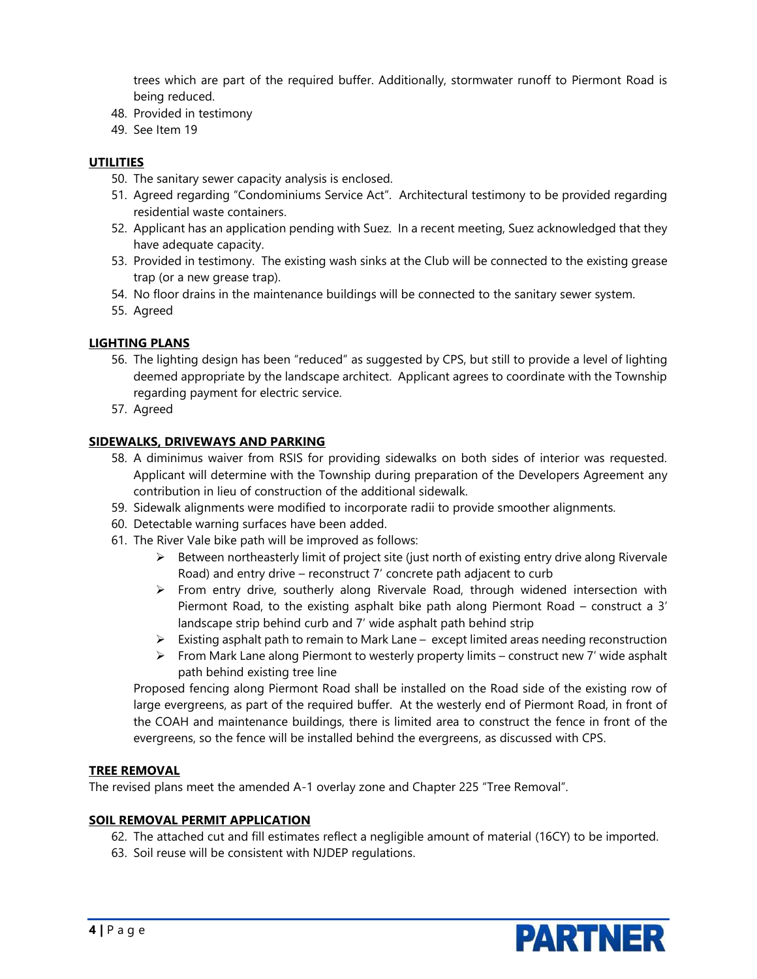trees which are part of the required buffer. Additionally, stormwater runoff to Piermont Road is being reduced.

- 48. Provided in testimony
- 49. See Item 19

## **UTILITIES**

- 50. The sanitary sewer capacity analysis is enclosed.
- 51. Agreed regarding "Condominiums Service Act". Architectural testimony to be provided regarding residential waste containers.
- 52. Applicant has an application pending with Suez. In a recent meeting, Suez acknowledged that they have adequate capacity.
- 53. Provided in testimony. The existing wash sinks at the Club will be connected to the existing grease trap (or a new grease trap).
- 54. No floor drains in the maintenance buildings will be connected to the sanitary sewer system.
- 55. Agreed

## **LIGHTING PLANS**

- 56. The lighting design has been "reduced" as suggested by CPS, but still to provide a level of lighting deemed appropriate by the landscape architect. Applicant agrees to coordinate with the Township regarding payment for electric service.
- 57. Agreed

### **SIDEWALKS, DRIVEWAYS AND PARKING**

- 58. A diminimus waiver from RSIS for providing sidewalks on both sides of interior was requested. Applicant will determine with the Township during preparation of the Developers Agreement any contribution in lieu of construction of the additional sidewalk.
- 59. Sidewalk alignments were modified to incorporate radii to provide smoother alignments.
- 60. Detectable warning surfaces have been added.
- 61. The River Vale bike path will be improved as follows:
	- ➢ Between northeasterly limit of project site (just north of existing entry drive along Rivervale Road) and entry drive – reconstruct 7' concrete path adjacent to curb
	- $\triangleright$  From entry drive, southerly along Rivervale Road, through widened intersection with Piermont Road, to the existing asphalt bike path along Piermont Road – construct a 3' landscape strip behind curb and 7' wide asphalt path behind strip
	- ➢ Existing asphalt path to remain to Mark Lane except limited areas needing reconstruction
	- $\triangleright$  From Mark Lane along Piermont to westerly property limits construct new 7' wide asphalt path behind existing tree line

Proposed fencing along Piermont Road shall be installed on the Road side of the existing row of large evergreens, as part of the required buffer. At the westerly end of Piermont Road, in front of the COAH and maintenance buildings, there is limited area to construct the fence in front of the evergreens, so the fence will be installed behind the evergreens, as discussed with CPS.

#### **TREE REMOVAL**

The revised plans meet the amended A-1 overlay zone and Chapter 225 "Tree Removal".

#### **SOIL REMOVAL PERMIT APPLICATION**

- 62. The attached cut and fill estimates reflect a negligible amount of material (16CY) to be imported.
- 63. Soil reuse will be consistent with NJDEP regulations.